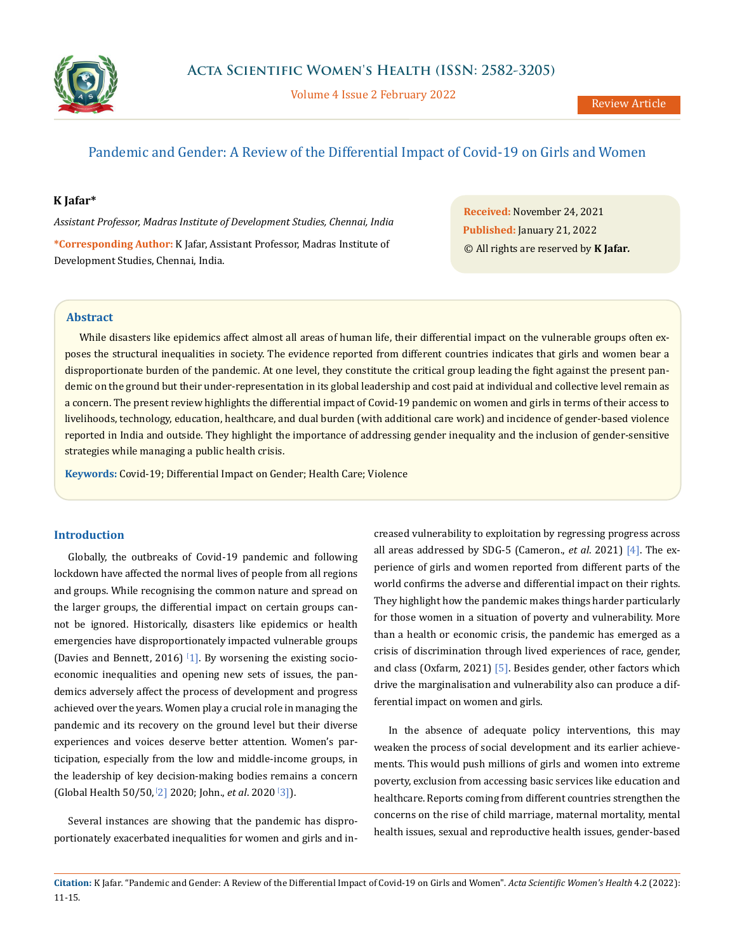

Volume 4 Issue 2 February 2022

# Pandemic and Gender: A Review of the Differential Impact of Covid-19 on Girls and Women

#### **K Jafar\***

*Assistant Professor, Madras Institute of Development Studies, Chennai, India* **\*Corresponding Author:** K Jafar, Assistant Professor, Madras Institute of Development Studies, Chennai, India.

**Received:** November 24, 2021 **Published:** January 21, 2022 © All rights are reserved by **K Jafar***.*

## **Abstract**

While disasters like epidemics affect almost all areas of human life, their differential impact on the vulnerable groups often exposes the structural inequalities in society. The evidence reported from different countries indicates that girls and women bear a disproportionate burden of the pandemic. At one level, they constitute the critical group leading the fight against the present pandemic on the ground but their under-representation in its global leadership and cost paid at individual and collective level remain as a concern. The present review highlights the differential impact of Covid-19 pandemic on women and girls in terms of their access to livelihoods, technology, education, healthcare, and dual burden (with additional care work) and incidence of gender-based violence reported in India and outside. They highlight the importance of addressing gender inequality and the inclusion of gender-sensitive strategies while managing a public health crisis.

**Keywords:** Covid-19; Differential Impact on Gender; Health Care; Violence

## **Introduction**

Globally, the outbreaks of Covid-19 pandemic and following lockdown have affected the normal lives of people from all regions and groups. While recognising the common nature and spread on the larger groups, the differential impact on certain groups cannot be ignored. Historically, disasters like epidemics or health emergencies have disproportionately impacted vulnerable groups (Davies and Bennett, 2016)  $\left[1\right]$ . By worsening the existing socioeconomic inequalities and opening new sets of issues, the pandemics adversely affect the process of development and progress achieved over the years. Women play a crucial role in managing the pandemic and its recovery on the ground level but their diverse experiences and voices deserve better attention. Women's participation, especially from the low and middle-income groups, in the leadership of key decision-making bodies remains a concern (Global Health 50/50, [ 2] 2020; John., *et al*. 2020 [ 3]).

Several instances are showing that the pandemic has disproportionately exacerbated inequalities for women and girls and increased vulnerability to exploitation by regressing progress across all areas addressed by SDG-5 (Cameron., *et al*. 2021) [4]. The experience of girls and women reported from different parts of the world confirms the adverse and differential impact on their rights. They highlight how the pandemic makes things harder particularly for those women in a situation of poverty and vulnerability. More than a health or economic crisis, the pandemic has emerged as a crisis of discrimination through lived experiences of race, gender, and class (Oxfarm, 2021) [5]. Besides gender, other factors which drive the marginalisation and vulnerability also can produce a differential impact on women and girls.

In the absence of adequate policy interventions, this may weaken the process of social development and its earlier achievements. This would push millions of girls and women into extreme poverty, exclusion from accessing basic services like education and healthcare. Reports coming from different countries strengthen the concerns on the rise of child marriage, maternal mortality, mental health issues, sexual and reproductive health issues, gender-based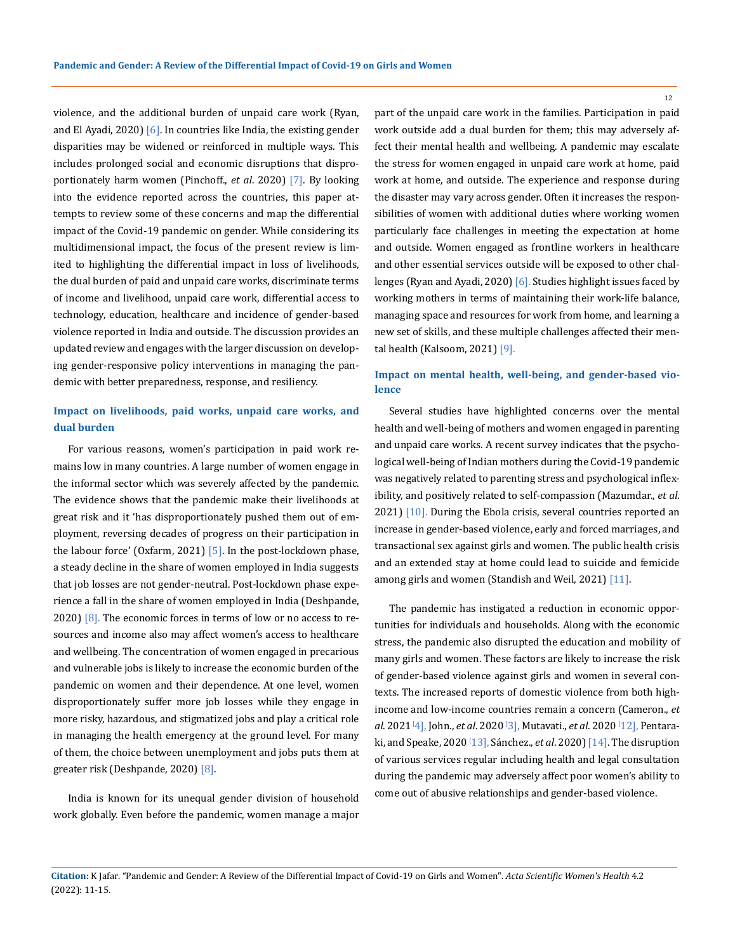violence, and the additional burden of unpaid care work (Ryan, and El Ayadi, 2020)  $[6]$ . In countries like India, the existing gender disparities may be widened or reinforced in multiple ways. This includes prolonged social and economic disruptions that disproportionately harm women (Pinchoff., *et al*. 2020) [7]. By looking into the evidence reported across the countries, this paper attempts to review some of these concerns and map the differential impact of the Covid-19 pandemic on gender. While considering its multidimensional impact, the focus of the present review is limited to highlighting the differential impact in loss of livelihoods, the dual burden of paid and unpaid care works, discriminate terms of income and livelihood, unpaid care work, differential access to technology, education, healthcare and incidence of gender-based violence reported in India and outside. The discussion provides an updated review and engages with the larger discussion on developing gender-responsive policy interventions in managing the pandemic with better preparedness, response, and resiliency.

## **Impact on livelihoods, paid works, unpaid care works, and dual burden**

For various reasons, women's participation in paid work remains low in many countries. A large number of women engage in the informal sector which was severely affected by the pandemic. The evidence shows that the pandemic make their livelihoods at great risk and it 'has disproportionately pushed them out of employment, reversing decades of progress on their participation in the labour force' (Oxfarm, 2021)  $[5]$ . In the post-lockdown phase, a steady decline in the share of women employed in India suggests that job losses are not gender-neutral. Post-lockdown phase experience a fall in the share of women employed in India (Deshpande, 2020)  $[8]$ . The economic forces in terms of low or no access to resources and income also may affect women's access to healthcare and wellbeing. The concentration of women engaged in precarious and vulnerable jobs is likely to increase the economic burden of the pandemic on women and their dependence. At one level, women disproportionately suffer more job losses while they engage in more risky, hazardous, and stigmatized jobs and play a critical role in managing the health emergency at the ground level. For many of them, the choice between unemployment and jobs puts them at greater risk (Deshpande, 2020) [8].

India is known for its unequal gender division of household work globally. Even before the pandemic, women manage a major part of the unpaid care work in the families. Participation in paid work outside add a dual burden for them; this may adversely affect their mental health and wellbeing. A pandemic may escalate the stress for women engaged in unpaid care work at home, paid work at home, and outside. The experience and response during the disaster may vary across gender. Often it increases the responsibilities of women with additional duties where working women particularly face challenges in meeting the expectation at home and outside. Women engaged as frontline workers in healthcare and other essential services outside will be exposed to other challenges (Ryan and Ayadi, 2020) [6]. Studies highlight issues faced by working mothers in terms of maintaining their work-life balance, managing space and resources for work from home, and learning a new set of skills, and these multiple challenges affected their mental health (Kalsoom, 2021) [9].

### **Impact on mental health, well-being, and gender-based violence**

Several studies have highlighted concerns over the mental health and well-being of mothers and women engaged in parenting and unpaid care works. A recent survey indicates that the psychological well-being of Indian mothers during the Covid-19 pandemic was negatively related to parenting stress and psychological inflexibility, and positively related to self-compassion (Mazumdar., *et al*. 2021) [10]. During the Ebola crisis, several countries reported an increase in gender-based violence, early and forced marriages, and transactional sex against girls and women. The public health crisis and an extended stay at home could lead to suicide and femicide among girls and women (Standish and Weil, 2021) [11].

The pandemic has instigated a reduction in economic opportunities for individuals and households. Along with the economic stress, the pandemic also disrupted the education and mobility of many girls and women. These factors are likely to increase the risk of gender-based violence against girls and women in several contexts. The increased reports of domestic violence from both highincome and low-income countries remain a concern (Cameron., *et al*. 2021[ 4], John., *et al*. 2020 [ 3], Mutavati., *et al*. 2020 [ 12], Pentaraki, and Speake, 2020 [ 13], Sánchez., *et al*. 2020) [14]. The disruption of various services regular including health and legal consultation during the pandemic may adversely affect poor women's ability to come out of abusive relationships and gender-based violence.

12

**Citation:** K Jafar*.* "Pandemic and Gender: A Review of the Differential Impact of Covid-19 on Girls and Women". *Acta Scientific Women's Health* 4.2 (2022): 11-15.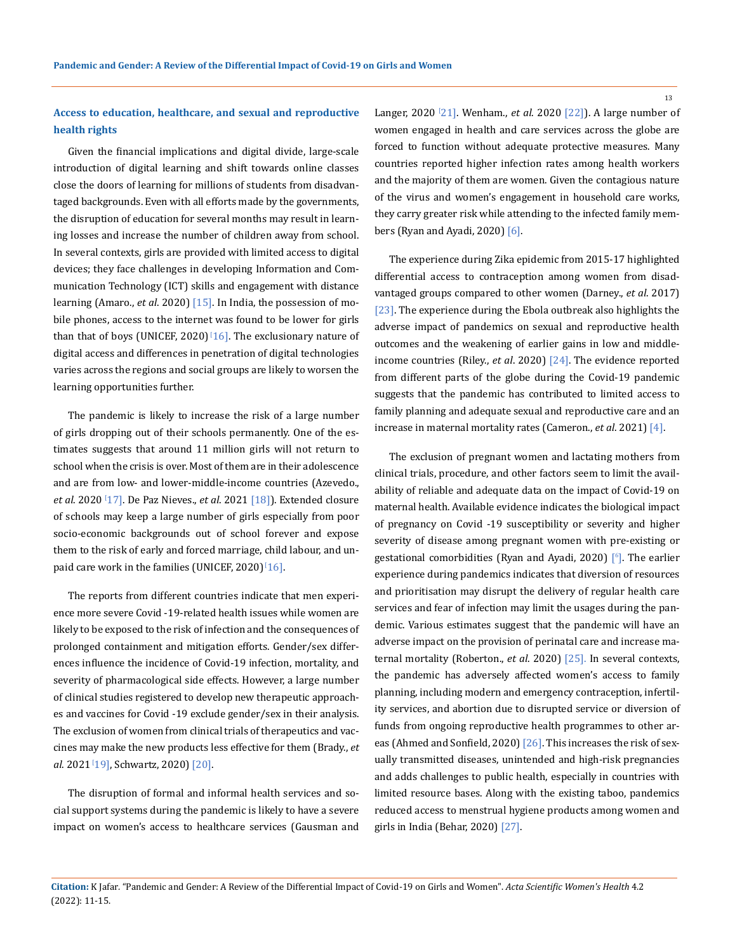13

## **Access to education, healthcare, and sexual and reproductive health rights**

Given the financial implications and digital divide, large-scale introduction of digital learning and shift towards online classes close the doors of learning for millions of students from disadvantaged backgrounds. Even with all efforts made by the governments, the disruption of education for several months may result in learning losses and increase the number of children away from school. In several contexts, girls are provided with limited access to digital devices; they face challenges in developing Information and Communication Technology (ICT) skills and engagement with distance learning (Amaro., *et al*. 2020) [15]. In India, the possession of mobile phones, access to the internet was found to be lower for girls than that of boys (UNICEF, 2020) $\ket{16}$ . The exclusionary nature of digital access and differences in penetration of digital technologies varies across the regions and social groups are likely to worsen the learning opportunities further.

The pandemic is likely to increase the risk of a large number of girls dropping out of their schools permanently. One of the estimates suggests that around 11 million girls will not return to school when the crisis is over. Most of them are in their adolescence and are from low- and lower-middle-income countries (Azevedo., *et al*. 2020 [ 17]. De Paz Nieves., *et al*. 2021 [18]). Extended closure of schools may keep a large number of girls especially from poor socio-economic backgrounds out of school forever and expose them to the risk of early and forced marriage, child labour, and unpaid care work in the families (UNICEF, 2020) $\frac{1}{16}$ .

The reports from different countries indicate that men experience more severe Covid -19-related health issues while women are likely to be exposed to the risk of infection and the consequences of prolonged containment and mitigation efforts. Gender/sex differences influence the incidence of Covid-19 infection, mortality, and severity of pharmacological side effects. However, a large number of clinical studies registered to develop new therapeutic approaches and vaccines for Covid -19 exclude gender/sex in their analysis. The exclusion of women from clinical trials of therapeutics and vaccines may make the new products less effective for them (Brady., *et al*. 2021[ 19], Schwartz, 2020) [20].

The disruption of formal and informal health services and social support systems during the pandemic is likely to have a severe impact on women's access to healthcare services (Gausman and

Langer, 2020 [ 21]. Wenham., *et al*. 2020 [22]). A large number of women engaged in health and care services across the globe are forced to function without adequate protective measures. Many countries reported higher infection rates among health workers and the majority of them are women. Given the contagious nature of the virus and women's engagement in household care works, they carry greater risk while attending to the infected family members (Ryan and Ayadi, 2020) [6].

The experience during Zika epidemic from 2015-17 highlighted differential access to contraception among women from disadvantaged groups compared to other women (Darney., *et al*. 2017) [23]. The experience during the Ebola outbreak also highlights the adverse impact of pandemics on sexual and reproductive health outcomes and the weakening of earlier gains in low and middleincome countries (Riley., *et al*. 2020) [24]. The evidence reported from different parts of the globe during the Covid-19 pandemic suggests that the pandemic has contributed to limited access to family planning and adequate sexual and reproductive care and an increase in maternal mortality rates (Cameron., *et al*. 2021) [4].

The exclusion of pregnant women and lactating mothers from clinical trials, procedure, and other factors seem to limit the availability of reliable and adequate data on the impact of Covid-19 on maternal health. Available evidence indicates the biological impact of pregnancy on Covid -19 susceptibility or severity and higher severity of disease among pregnant women with pre-existing or gestational comorbidities (Ryan and Ayadi, 2020) [6 ]. The earlier experience during pandemics indicates that diversion of resources and prioritisation may disrupt the delivery of regular health care services and fear of infection may limit the usages during the pandemic. Various estimates suggest that the pandemic will have an adverse impact on the provision of perinatal care and increase maternal mortality (Roberton., *et al*. 2020) [25]. In several contexts, the pandemic has adversely affected women's access to family planning, including modern and emergency contraception, infertility services, and abortion due to disrupted service or diversion of funds from ongoing reproductive health programmes to other areas (Ahmed and Sonfield, 2020) [26]. This increases the risk of sexually transmitted diseases, unintended and high-risk pregnancies and adds challenges to public health, especially in countries with limited resource bases. Along with the existing taboo, pandemics reduced access to menstrual hygiene products among women and girls in India (Behar, 2020) [27].

**Citation:** K Jafar*.* "Pandemic and Gender: A Review of the Differential Impact of Covid-19 on Girls and Women". *Acta Scientific Women's Health* 4.2 (2022): 11-15.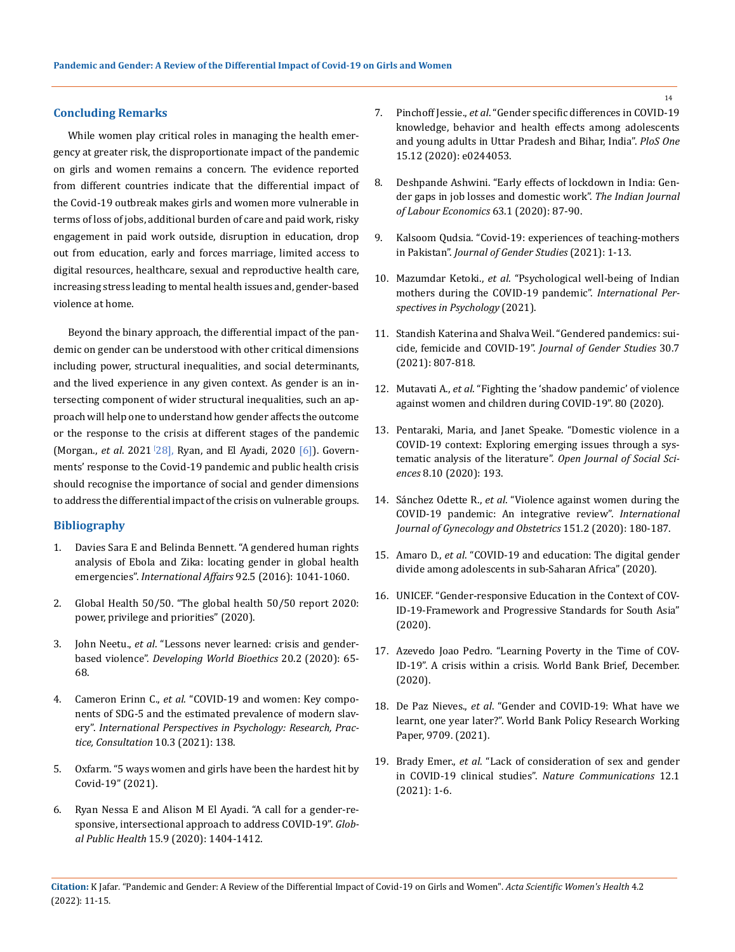#### **Concluding Remarks**

While women play critical roles in managing the health emergency at greater risk, the disproportionate impact of the pandemic on girls and women remains a concern. The evidence reported from different countries indicate that the differential impact of the Covid-19 outbreak makes girls and women more vulnerable in terms of loss of jobs, additional burden of care and paid work, risky engagement in paid work outside, disruption in education, drop out from education, early and forces marriage, limited access to digital resources, healthcare, sexual and reproductive health care, increasing stress leading to mental health issues and, gender-based violence at home.

Beyond the binary approach, the differential impact of the pandemic on gender can be understood with other critical dimensions including power, structural inequalities, and social determinants, and the lived experience in any given context. As gender is an intersecting component of wider structural inequalities, such an approach will help one to understand how gender affects the outcome or the response to the crisis at different stages of the pandemic (Morgan., *et al*. 2021 [ 28], Ryan, and El Ayadi, 2020 [6]). Governments' response to the Covid-19 pandemic and public health crisis should recognise the importance of social and gender dimensions to address the differential impact of the crisis on vulnerable groups.

#### **Bibliography**

- 1. [Davies Sara E and Belinda Bennett. "A gendered human rights](https://academic.oup.com/ia/article/92/5/1041/2688120)  [analysis of Ebola and Zika: locating gender in global health](https://academic.oup.com/ia/article/92/5/1041/2688120)  emergencies". *International Affairs* [92.5 \(2016\): 1041-1060.](https://academic.oup.com/ia/article/92/5/1041/2688120)
- 2. Global Health 50/50. "The global health 50/50 report 2020: power, privilege and priorities" (2020).
- 3. John Neetu., *et al*[. "Lessons never learned: crisis and gender](https://onlinelibrary.wiley.com/doi/full/10.1111/dewb.12261)based violence". *[Developing World Bioethics](https://onlinelibrary.wiley.com/doi/full/10.1111/dewb.12261)* 20.2 (2020): 65- [68.](https://onlinelibrary.wiley.com/doi/full/10.1111/dewb.12261)
- 4. Cameron Erinn C., *et al*[. "COVID-19 and women: Key compo](https://psycnet.apa.org/record/2021-75111-003)[nents of SDG-5 and the estimated prevalence of modern slav](https://psycnet.apa.org/record/2021-75111-003)ery". *[International Perspectives in Psychology: Research, Prac](https://psycnet.apa.org/record/2021-75111-003)[tice, Consultation](https://psycnet.apa.org/record/2021-75111-003)* 10.3 (2021): 138.
- 5. [Oxfarm. "5 ways women and girls have been the hardest hit by](https://www.oxfam.org/en/5-ways-women-and-girls-have-been-hardest-hit-covid-19)  [Covid-19" \(2021\).](https://www.oxfam.org/en/5-ways-women-and-girls-have-been-hardest-hit-covid-19)
- 6. [Ryan Nessa E and Alison M El Ayadi. "A call for a gender-re](https://pubmed.ncbi.nlm.nih.gov/32633628/)[sponsive, intersectional approach to address COVID-19".](https://pubmed.ncbi.nlm.nih.gov/32633628/) *Global Public Health* [15.9 \(2020\): 1404-1412.](https://pubmed.ncbi.nlm.nih.gov/32633628/)
- 7. Pinchoff Jessie., *et al*[. "Gender specific differences in COVID-19](https://pubmed.ncbi.nlm.nih.gov/33332461/)  [knowledge, behavior and health effects among adolescents](https://pubmed.ncbi.nlm.nih.gov/33332461/)  [and young adults in Uttar Pradesh and Bihar, India".](https://pubmed.ncbi.nlm.nih.gov/33332461/) *PloS One* [15.12 \(2020\): e0244053.](https://pubmed.ncbi.nlm.nih.gov/33332461/)
- 8. [Deshpande Ashwini. "Early effects of lockdown in India: Gen](https://www.researchgate.net/publication/346115779_Early_Effects_of_Lockdown_in_India_Gender_Gaps_in_Job_Losses_and_Domestic_Work)[der gaps in job losses and domestic work".](https://www.researchgate.net/publication/346115779_Early_Effects_of_Lockdown_in_India_Gender_Gaps_in_Job_Losses_and_Domestic_Work) *The Indian Journal [of Labour Economics](https://www.researchgate.net/publication/346115779_Early_Effects_of_Lockdown_in_India_Gender_Gaps_in_Job_Losses_and_Domestic_Work)* 63.1 (2020): 87-90.
- 9. [Kalsoom Qudsia. "Covid-19: experiences of teaching-mothers](https://www.tandfonline.com/doi/abs/10.1080/09589236.2021.1923464?journalCode=cjgs20)  in Pakistan". *[Journal of Gender Studies](https://www.tandfonline.com/doi/abs/10.1080/09589236.2021.1923464?journalCode=cjgs20)* (2021): 1-13.
- 10. Mazumdar Ketoki., *et al*[. "Psychological well-being of Indian](https://www.researchgate.net/publication/353696298_Psychological_Well-Being_of_Indian_Mothers_During_the_COVID-19_Pandemic_The_Roles_of_Self-Compassion_Psychological_Inflexibility_and_Parenting_Stress)  [mothers during the COVID-19 pandemic".](https://www.researchgate.net/publication/353696298_Psychological_Well-Being_of_Indian_Mothers_During_the_COVID-19_Pandemic_The_Roles_of_Self-Compassion_Psychological_Inflexibility_and_Parenting_Stress) *International Per[spectives in Psychology](https://www.researchgate.net/publication/353696298_Psychological_Well-Being_of_Indian_Mothers_During_the_COVID-19_Pandemic_The_Roles_of_Self-Compassion_Psychological_Inflexibility_and_Parenting_Stress)* (2021).
- 11. [Standish Katerina and Shalva Weil. "Gendered pandemics: sui](https://www.tandfonline.com/doi/abs/10.1080/09589236.2021.1880883?journalCode=cjgs20)cide, femicide and COVID-19". *[Journal of Gender Studies](https://www.tandfonline.com/doi/abs/10.1080/09589236.2021.1880883?journalCode=cjgs20)* 30.7 [\(2021\): 807-818.](https://www.tandfonline.com/doi/abs/10.1080/09589236.2021.1880883?journalCode=cjgs20)
- 12. Mutavati A., *et al*. "Fighting the 'shadow pandemic' of violence against women and children during COVID-19". 80 (2020).
- 13. [Pentaraki, Maria, and Janet Speake. "Domestic violence in a](https://www.scirp.org/journal/paperinformation.aspx?paperid=103683)  [COVID-19 context: Exploring emerging issues through a sys](https://www.scirp.org/journal/paperinformation.aspx?paperid=103683)[tematic analysis of the literature".](https://www.scirp.org/journal/paperinformation.aspx?paperid=103683) *Open Journal of Social Sciences* [8.10 \(2020\): 193.](https://www.scirp.org/journal/paperinformation.aspx?paperid=103683)
- 14. Sánchez Odette R., *et al*[. "Violence against women during the](https://pubmed.ncbi.nlm.nih.gov/32880941/)  [COVID-19 pandemic: An integrative review".](https://pubmed.ncbi.nlm.nih.gov/32880941/) *International [Journal of Gynecology and Obstetrics](https://pubmed.ncbi.nlm.nih.gov/32880941/)* 151.2 (2020): 180-187.
- 15. Amaro D., *et al*[. "COVID-19 and education: The digital gender](https://blogs.unicef.org/evidence-for-action/covid-19-and-education-the-digital-gender-divide-among-adolescents-in-sub-saharan-africa/)  [divide among adolescents in sub-Saharan Africa" \(2020\).](https://blogs.unicef.org/evidence-for-action/covid-19-and-education-the-digital-gender-divide-among-adolescents-in-sub-saharan-africa/)
- 16. [UNICEF. "Gender-responsive Education in the Context of COV-](https://www.unicef.org/rosa/documents/gender-responsive-education-context-covid-19)[ID-19-Framework and Progressive Standards for South Asia"](https://www.unicef.org/rosa/documents/gender-responsive-education-context-covid-19)  [\(2020\).](https://www.unicef.org/rosa/documents/gender-responsive-education-context-covid-19)
- 17. Azevedo Joao Pedro. "Learning Poverty in the Time of COV-ID-19". A crisis within a crisis. World Bank Brief, December. (2020).
- 18. De Paz Nieves., *et al*[. "Gender and COVID-19: What have we](https://openknowledge.worldbank.org/handle/10986/35829)  [learnt, one year later?". World Bank Policy Research Working](https://openknowledge.worldbank.org/handle/10986/35829)  [Paper, 9709. \(2021\).](https://openknowledge.worldbank.org/handle/10986/35829)
- 19. Brady Emer., *et al*[. "Lack of consideration of sex and gender](https://www.nature.com/articles/s41467-021-24265-8)  [in COVID-19 clinical studies".](https://www.nature.com/articles/s41467-021-24265-8) *Nature Communications* 12.1 [\(2021\): 1-6.](https://www.nature.com/articles/s41467-021-24265-8)

**Citation:** K Jafar*.* "Pandemic and Gender: A Review of the Differential Impact of Covid-19 on Girls and Women". *Acta Scientific Women's Health* 4.2 (2022): 11-15.

14